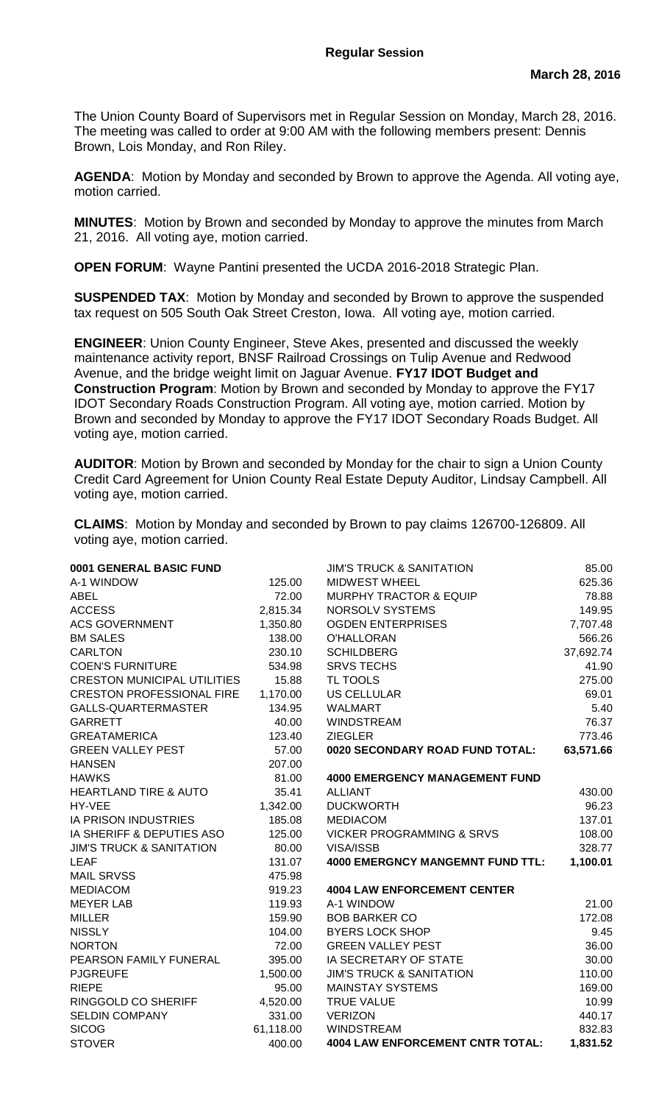The Union County Board of Supervisors met in Regular Session on Monday, March 28, 2016. The meeting was called to order at 9:00 AM with the following members present: Dennis Brown, Lois Monday, and Ron Riley.

**AGENDA**: Motion by Monday and seconded by Brown to approve the Agenda. All voting aye, motion carried.

**MINUTES**: Motion by Brown and seconded by Monday to approve the minutes from March 21, 2016. All voting aye, motion carried.

**OPEN FORUM**: Wayne Pantini presented the UCDA 2016-2018 Strategic Plan.

**SUSPENDED TAX**: Motion by Monday and seconded by Brown to approve the suspended tax request on 505 South Oak Street Creston, Iowa. All voting aye, motion carried.

**ENGINEER**: Union County Engineer, Steve Akes, presented and discussed the weekly maintenance activity report, BNSF Railroad Crossings on Tulip Avenue and Redwood Avenue, and the bridge weight limit on Jaguar Avenue. **FY17 IDOT Budget and Construction Program**: Motion by Brown and seconded by Monday to approve the FY17 IDOT Secondary Roads Construction Program. All voting aye, motion carried. Motion by Brown and seconded by Monday to approve the FY17 IDOT Secondary Roads Budget. All voting aye, motion carried.

**AUDITOR**: Motion by Brown and seconded by Monday for the chair to sign a Union County Credit Card Agreement for Union County Real Estate Deputy Auditor, Lindsay Campbell. All voting aye, motion carried.

**CLAIMS**: Motion by Monday and seconded by Brown to pay claims 126700-126809. All voting aye, motion carried.

| 0001 GENERAL BASIC FUND             |           | <b>JIM'S TRUCK &amp; SANITATION</b>     | 85.00     |
|-------------------------------------|-----------|-----------------------------------------|-----------|
| A-1 WINDOW                          | 125.00    | <b>MIDWEST WHEEL</b>                    | 625.36    |
| <b>ABEL</b>                         | 72.00     | <b>MURPHY TRACTOR &amp; EQUIP</b>       | 78.88     |
| <b>ACCESS</b>                       | 2,815.34  | NORSOLV SYSTEMS                         | 149.95    |
| <b>ACS GOVERNMENT</b>               | 1,350.80  | <b>OGDEN ENTERPRISES</b>                | 7,707.48  |
| <b>BM SALES</b>                     | 138.00    | <b>O'HALLORAN</b>                       | 566.26    |
| <b>CARLTON</b>                      | 230.10    | <b>SCHILDBERG</b>                       | 37,692.74 |
| <b>COEN'S FURNITURE</b>             | 534.98    | <b>SRVS TECHS</b>                       | 41.90     |
| <b>CRESTON MUNICIPAL UTILITIES</b>  | 15.88     | TL TOOLS                                | 275.00    |
| <b>CRESTON PROFESSIONAL FIRE</b>    | 1,170.00  | <b>US CELLULAR</b>                      | 69.01     |
| GALLS-QUARTERMASTER                 | 134.95    | <b>WALMART</b>                          | 5.40      |
| <b>GARRETT</b>                      | 40.00     | <b>WINDSTREAM</b>                       | 76.37     |
| <b>GREATAMERICA</b>                 | 123.40    | <b>ZIEGLER</b>                          | 773.46    |
| <b>GREEN VALLEY PEST</b>            | 57.00     | 0020 SECONDARY ROAD FUND TOTAL:         | 63,571.66 |
| <b>HANSEN</b>                       | 207.00    |                                         |           |
| <b>HAWKS</b>                        | 81.00     | <b>4000 EMERGENCY MANAGEMENT FUND</b>   |           |
| <b>HEARTLAND TIRE &amp; AUTO</b>    | 35.41     | <b>ALLIANT</b>                          | 430.00    |
| HY-VEE                              | 1,342.00  | <b>DUCKWORTH</b>                        | 96.23     |
| <b>IA PRISON INDUSTRIES</b>         | 185.08    | <b>MEDIACOM</b>                         | 137.01    |
| IA SHERIFF & DEPUTIES ASO           | 125.00    | <b>VICKER PROGRAMMING &amp; SRVS</b>    | 108.00    |
| <b>JIM'S TRUCK &amp; SANITATION</b> | 80.00     | VISA/ISSB                               | 328.77    |
| <b>LEAF</b>                         | 131.07    | <b>4000 EMERGNCY MANGEMNT FUND TTL:</b> | 1,100.01  |
| <b>MAIL SRVSS</b>                   | 475.98    |                                         |           |
| <b>MEDIACOM</b>                     | 919.23    | <b>4004 LAW ENFORCEMENT CENTER</b>      |           |
| <b>MEYER LAB</b>                    | 119.93    | A-1 WINDOW                              | 21.00     |
| <b>MILLER</b>                       | 159.90    | <b>BOB BARKER CO</b>                    | 172.08    |
| <b>NISSLY</b>                       | 104.00    | <b>BYERS LOCK SHOP</b>                  | 9.45      |
| <b>NORTON</b>                       | 72.00     | <b>GREEN VALLEY PEST</b>                | 36.00     |
| PEARSON FAMILY FUNERAL              | 395.00    | IA SECRETARY OF STATE                   | 30.00     |
| <b>PJGREUFE</b>                     | 1,500.00  | <b>JIM'S TRUCK &amp; SANITATION</b>     | 110.00    |
| <b>RIEPE</b>                        | 95.00     | <b>MAINSTAY SYSTEMS</b>                 | 169.00    |
| RINGGOLD CO SHERIFF                 | 4,520.00  | <b>TRUE VALUE</b>                       | 10.99     |
| <b>SELDIN COMPANY</b>               | 331.00    | <b>VERIZON</b>                          | 440.17    |
| <b>SICOG</b>                        | 61,118.00 | <b>WINDSTREAM</b>                       | 832.83    |
| <b>STOVER</b>                       | 400.00    | <b>4004 LAW ENFORCEMENT CNTR TOTAL:</b> | 1,831.52  |